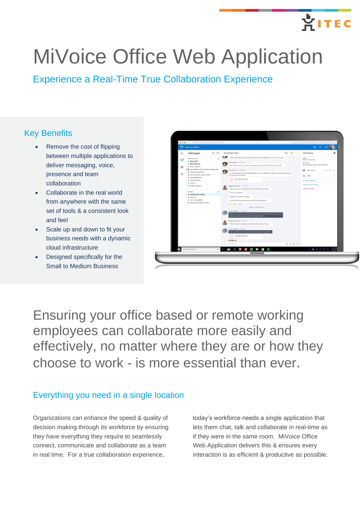# **AITEC**

# MiVoice Office Web Application

Experience a Real-Time True Collaboration Experience

# Key Benefits

- Remove the cost of flipping between multiple applications to deliver messaging, voice, presence and team collaboration
- Collaborate in the real world from anywhere with the same set of tools & a consistent look and feel
- Scale up and down to fit your business needs with a dynamic cloud infrastructure
- Designed specifically for the Small to Medium Business



Ensuring your office based or remote working employees can collaborate more easily and effectively, no matter where they are or how they choose to work - is more essential than ever.

# Everything you need in a single location

Organizations can enhance the speed & quality of decision making through its workforce by ensuring they have everything they require to seamlessly connect, communicate and collaborate as a team in real time. For a true collaboration experience,

today's workforce needs a single application that lets them chat, talk and collaborate in real-time as if they were in the same room. MiVoice Office Web Application delivers this & ensures every interaction is as efficient & productive as possible.